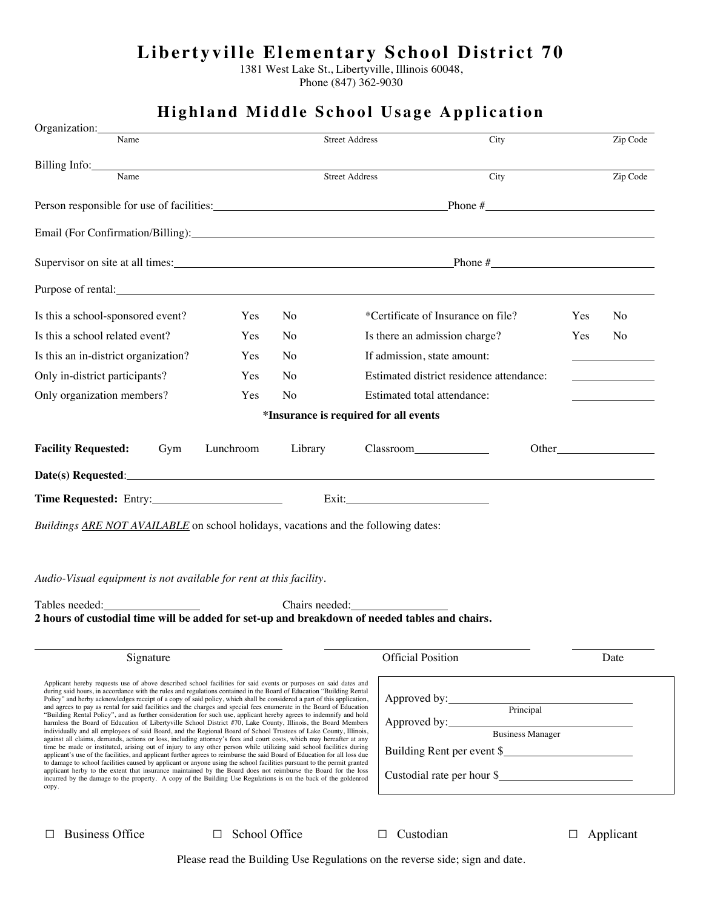## **Libertyville Elementary School District 70**

1381 West Lake St., Libertyville, Illinois 60048,

Phone (847) 362-9030

| Name<br>Person responsible for use of facilities: Phone # Phone #<br>Supervisor on site at all times: Phone # Phone #<br>Purpose of rental: example and the property of rental state of rental state of rental state of the state of the state of the state of the state of the state of the state of the state of the state of the state of the state<br>Is this a school-sponsored event?<br>Is this a school related event?<br>Is this an in-district organization?<br>Only in-district participants?<br>Only organization members?<br><b>Facility Requested:</b><br>Lunchroom<br>Gym<br>Date(s) Requested: Note that the contract of the contract of the contract of the contract of the contract of the contract of the contract of the contract of the contract of the contract of the contract of the contract of t<br>Buildings ARE NOT AVAILABLE on school holidays, vacations and the following dates:<br>Audio-Visual equipment is not available for rent at this facility. | Yes<br>N <sub>o</sub><br>Yes<br>No<br>Yes<br>N <sub>o</sub><br>N <sub>o</sub><br>Yes<br>Yes<br>N <sub>o</sub><br>Library | <b>Street Address</b><br>*Certificate of Insurance on file?<br>Is there an admission charge?<br>If admission, state amount:<br>Estimated district residence attendance:<br>Estimated total attendance:<br>*Insurance is required for all events | City<br>Yes<br>Yes | Zip Code<br>N <sub>o</sub><br>N <sub>o</sub> |
|----------------------------------------------------------------------------------------------------------------------------------------------------------------------------------------------------------------------------------------------------------------------------------------------------------------------------------------------------------------------------------------------------------------------------------------------------------------------------------------------------------------------------------------------------------------------------------------------------------------------------------------------------------------------------------------------------------------------------------------------------------------------------------------------------------------------------------------------------------------------------------------------------------------------------------------------------------------------------------------|--------------------------------------------------------------------------------------------------------------------------|-------------------------------------------------------------------------------------------------------------------------------------------------------------------------------------------------------------------------------------------------|--------------------|----------------------------------------------|
|                                                                                                                                                                                                                                                                                                                                                                                                                                                                                                                                                                                                                                                                                                                                                                                                                                                                                                                                                                                        |                                                                                                                          |                                                                                                                                                                                                                                                 |                    |                                              |
|                                                                                                                                                                                                                                                                                                                                                                                                                                                                                                                                                                                                                                                                                                                                                                                                                                                                                                                                                                                        |                                                                                                                          |                                                                                                                                                                                                                                                 |                    |                                              |
|                                                                                                                                                                                                                                                                                                                                                                                                                                                                                                                                                                                                                                                                                                                                                                                                                                                                                                                                                                                        |                                                                                                                          |                                                                                                                                                                                                                                                 |                    |                                              |
|                                                                                                                                                                                                                                                                                                                                                                                                                                                                                                                                                                                                                                                                                                                                                                                                                                                                                                                                                                                        |                                                                                                                          |                                                                                                                                                                                                                                                 |                    |                                              |
|                                                                                                                                                                                                                                                                                                                                                                                                                                                                                                                                                                                                                                                                                                                                                                                                                                                                                                                                                                                        |                                                                                                                          |                                                                                                                                                                                                                                                 |                    |                                              |
|                                                                                                                                                                                                                                                                                                                                                                                                                                                                                                                                                                                                                                                                                                                                                                                                                                                                                                                                                                                        |                                                                                                                          |                                                                                                                                                                                                                                                 |                    |                                              |
|                                                                                                                                                                                                                                                                                                                                                                                                                                                                                                                                                                                                                                                                                                                                                                                                                                                                                                                                                                                        |                                                                                                                          |                                                                                                                                                                                                                                                 |                    |                                              |
|                                                                                                                                                                                                                                                                                                                                                                                                                                                                                                                                                                                                                                                                                                                                                                                                                                                                                                                                                                                        |                                                                                                                          |                                                                                                                                                                                                                                                 |                    |                                              |
|                                                                                                                                                                                                                                                                                                                                                                                                                                                                                                                                                                                                                                                                                                                                                                                                                                                                                                                                                                                        |                                                                                                                          |                                                                                                                                                                                                                                                 |                    |                                              |
|                                                                                                                                                                                                                                                                                                                                                                                                                                                                                                                                                                                                                                                                                                                                                                                                                                                                                                                                                                                        |                                                                                                                          |                                                                                                                                                                                                                                                 |                    |                                              |
|                                                                                                                                                                                                                                                                                                                                                                                                                                                                                                                                                                                                                                                                                                                                                                                                                                                                                                                                                                                        |                                                                                                                          |                                                                                                                                                                                                                                                 |                    |                                              |
|                                                                                                                                                                                                                                                                                                                                                                                                                                                                                                                                                                                                                                                                                                                                                                                                                                                                                                                                                                                        |                                                                                                                          |                                                                                                                                                                                                                                                 |                    |                                              |
|                                                                                                                                                                                                                                                                                                                                                                                                                                                                                                                                                                                                                                                                                                                                                                                                                                                                                                                                                                                        |                                                                                                                          |                                                                                                                                                                                                                                                 |                    |                                              |
|                                                                                                                                                                                                                                                                                                                                                                                                                                                                                                                                                                                                                                                                                                                                                                                                                                                                                                                                                                                        |                                                                                                                          |                                                                                                                                                                                                                                                 |                    |                                              |
|                                                                                                                                                                                                                                                                                                                                                                                                                                                                                                                                                                                                                                                                                                                                                                                                                                                                                                                                                                                        |                                                                                                                          | Exit: No. 1998                                                                                                                                                                                                                                  |                    |                                              |
|                                                                                                                                                                                                                                                                                                                                                                                                                                                                                                                                                                                                                                                                                                                                                                                                                                                                                                                                                                                        |                                                                                                                          |                                                                                                                                                                                                                                                 |                    |                                              |
|                                                                                                                                                                                                                                                                                                                                                                                                                                                                                                                                                                                                                                                                                                                                                                                                                                                                                                                                                                                        |                                                                                                                          |                                                                                                                                                                                                                                                 |                    |                                              |
|                                                                                                                                                                                                                                                                                                                                                                                                                                                                                                                                                                                                                                                                                                                                                                                                                                                                                                                                                                                        |                                                                                                                          |                                                                                                                                                                                                                                                 |                    |                                              |
| Tables needed:                                                                                                                                                                                                                                                                                                                                                                                                                                                                                                                                                                                                                                                                                                                                                                                                                                                                                                                                                                         | Chairs needed:                                                                                                           |                                                                                                                                                                                                                                                 |                    |                                              |
| 2 hours of custodial time will be added for set-up and breakdown of needed tables and chairs.                                                                                                                                                                                                                                                                                                                                                                                                                                                                                                                                                                                                                                                                                                                                                                                                                                                                                          |                                                                                                                          |                                                                                                                                                                                                                                                 |                    |                                              |
| Signature                                                                                                                                                                                                                                                                                                                                                                                                                                                                                                                                                                                                                                                                                                                                                                                                                                                                                                                                                                              |                                                                                                                          | <b>Official Position</b>                                                                                                                                                                                                                        |                    | Date                                         |
| Applicant hereby requests use of above described school facilities for said events or purposes on said dates and<br>during said hours, in accordance with the rules and regulations contained in the Board of Education "Building Rental"                                                                                                                                                                                                                                                                                                                                                                                                                                                                                                                                                                                                                                                                                                                                              |                                                                                                                          |                                                                                                                                                                                                                                                 |                    |                                              |
| Policy" and herby acknowledges receipt of a copy of said policy, which shall be considered a part of this application,<br>and agrees to pay as rental for said facilities and the charges and special fees enumerate in the Board of Education                                                                                                                                                                                                                                                                                                                                                                                                                                                                                                                                                                                                                                                                                                                                         |                                                                                                                          | Approved by: Principal<br>Approved by: Business Manager                                                                                                                                                                                         |                    |                                              |
| "Building Rental Policy", and as further consideration for such use, applicant hereby agrees to indemnify and hold<br>harmless the Board of Education of Libertyville School District #70, Lake County, Illinois, the Board Members<br>individually and all employees of said Board, and the Regional Board of School Trustees of Lake County, Illinois,                                                                                                                                                                                                                                                                                                                                                                                                                                                                                                                                                                                                                               |                                                                                                                          |                                                                                                                                                                                                                                                 |                    |                                              |
| against all claims, demands, actions or loss, including attorney's fees and court costs, which may hereafter at any<br>time be made or instituted, arising out of injury to any other person while utilizing said school facilities during                                                                                                                                                                                                                                                                                                                                                                                                                                                                                                                                                                                                                                                                                                                                             |                                                                                                                          | Building Rent per event \$                                                                                                                                                                                                                      |                    |                                              |
| applicant's use of the facilities, and applicant further agrees to reimburse the said Board of Education for all loss due<br>to damage to school facilities caused by applicant or anyone using the school facilities pursuant to the permit granted<br>applicant herby to the extent that insurance maintained by the Board does not reimburse the Board for the loss                                                                                                                                                                                                                                                                                                                                                                                                                                                                                                                                                                                                                 |                                                                                                                          |                                                                                                                                                                                                                                                 |                    |                                              |
| incurred by the damage to the property. A copy of the Building Use Regulations is on the back of the goldenrod<br>copy.                                                                                                                                                                                                                                                                                                                                                                                                                                                                                                                                                                                                                                                                                                                                                                                                                                                                |                                                                                                                          |                                                                                                                                                                                                                                                 |                    |                                              |
|                                                                                                                                                                                                                                                                                                                                                                                                                                                                                                                                                                                                                                                                                                                                                                                                                                                                                                                                                                                        |                                                                                                                          |                                                                                                                                                                                                                                                 |                    |                                              |
| <b>Business Office</b>                                                                                                                                                                                                                                                                                                                                                                                                                                                                                                                                                                                                                                                                                                                                                                                                                                                                                                                                                                 | School Office                                                                                                            | Custodian                                                                                                                                                                                                                                       |                    | Applicant                                    |

## **Highland Middle School Usage Application**

Please read the Building Use Regulations on the reverse side; sign and date.